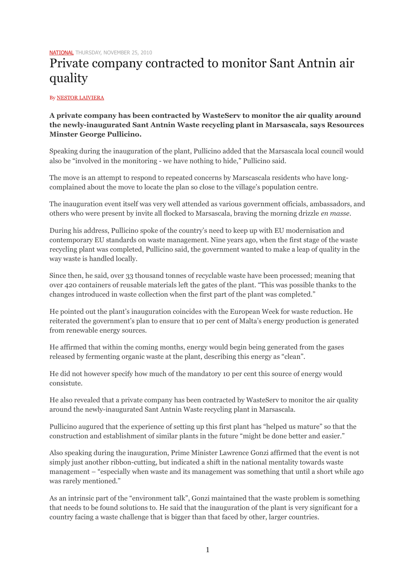[NATIONAL](http://www.maltatoday.com.mt/news/national) THURSDAY, NOVEMBER 25, 2010

## Private company contracted to monitor Sant Antnin air quality

By [NESTOR LAIVIERA](http://www.maltatoday.com.mt/users/nestor-laiviera)

## **A private company has been contracted by WasteServ to monitor the air quality around the newly-inaugurated Sant Antnin Waste recycling plant in Marsascala, says Resources Minster George Pullicino.**

Speaking during the inauguration of the plant, Pullicino added that the Marsascala local council would also be "involved in the monitoring - we have nothing to hide," Pullicino said.

The move is an attempt to respond to repeated concerns by Marscascala residents who have longcomplained about the move to locate the plan so close to the village's population centre.

The inauguration event itself was very well attended as various government officials, ambassadors, and others who were present by invite all flocked to Marsascala, braving the morning drizzle *en masse*.

During his address, Pullicino spoke of the country's need to keep up with EU modernisation and contemporary EU standards on waste management. Nine years ago, when the first stage of the waste recycling plant was completed, Pullicino said, the government wanted to make a leap of quality in the way waste is handled locally.

Since then, he said, over 33 thousand tonnes of recyclable waste have been processed; meaning that over 420 containers of reusable materials left the gates of the plant. "This was possible thanks to the changes introduced in waste collection when the first part of the plant was completed."

He pointed out the plant's inauguration coincides with the European Week for waste reduction. He reiterated the government's plan to ensure that 10 per cent of Malta's energy production is generated from renewable energy sources.

He affirmed that within the coming months, energy would begin being generated from the gases released by fermenting organic waste at the plant, describing this energy as "clean".

He did not however specify how much of the mandatory 10 per cent this source of energy would consistute.

He also revealed that a private company has been contracted by WasteServ to monitor the air quality around the newly-inaugurated Sant Antnin Waste recycling plant in Marsascala.

Pullicino augured that the experience of setting up this first plant has "helped us mature" so that the construction and establishment of similar plants in the future "might be done better and easier."

Also speaking during the inauguration, Prime Minister Lawrence Gonzi affirmed that the event is not simply just another ribbon-cutting, but indicated a shift in the national mentality towards waste management – "especially when waste and its management was something that until a short while ago was rarely mentioned."

As an intrinsic part of the "environment talk", Gonzi maintained that the waste problem is something that needs to be found solutions to. He said that the inauguration of the plant is very significant for a country facing a waste challenge that is bigger than that faced by other, larger countries.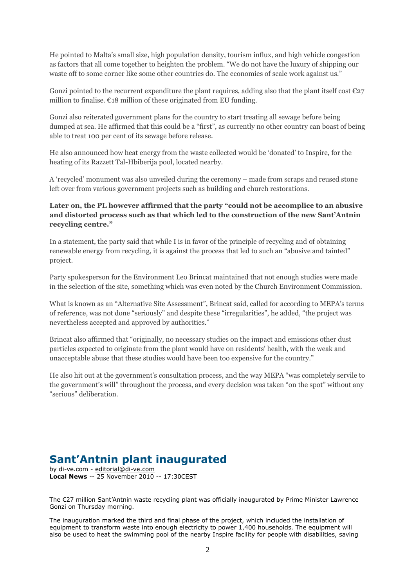He pointed to Malta's small size, high population density, tourism influx, and high vehicle congestion as factors that all come together to heighten the problem. "We do not have the luxury of shipping our waste off to some corner like some other countries do. The economies of scale work against us."

Gonzi pointed to the recurrent expenditure the plant requires, adding also that the plant itself cost  $\epsilon_{27}$ million to finalise. €18 million of these originated from EU funding.

Gonzi also reiterated government plans for the country to start treating all sewage before being dumped at sea. He affirmed that this could be a "first", as currently no other country can boast of being able to treat 100 per cent of its sewage before release.

He also announced how heat energy from the waste collected would be 'donated' to Inspire, for the heating of its Razzett Tal-Hbiberija pool, located nearby.

A 'recycled' monument was also unveiled during the ceremony – made from scraps and reused stone left over from various government projects such as building and church restorations.

## **Later on, the PL however affirmed that the party "could not be accomplice to an abusive and distorted process such as that which led to the construction of the new Sant'Antnin recycling centre."**

In a statement, the party said that while I is in favor of the principle of recycling and of obtaining renewable energy from recycling, it is against the process that led to such an "abusive and tainted" project.

Party spokesperson for the Environment Leo Brincat maintained that not enough studies were made in the selection of the site, something which was even noted by the Church Environment Commission.

What is known as an "Alternative Site Assessment", Brincat said, called for according to MEPA's terms of reference, was not done "seriously" and despite these "irregularities", he added, "the project was nevertheless accepted and approved by authorities."

Brincat also affirmed that "originally, no necessary studies on the impact and emissions other dust particles expected to originate from the plant would have on residents' health, with the weak and unacceptable abuse that these studies would have been too expensive for the country."

He also hit out at the government's consultation process, and the way MEPA "was completely servile to the government's will" throughout the process, and every decision was taken "on the spot" without any "serious" deliberation.

## **Sant'Antnin plant inaugurated**

by di-ve.com - [editorial@di-ve.com](mailto:editorial@di-ve.com) **Local News** -- 25 November 2010 -- 17:30CEST

The €27 million Sant'Antnin waste recycling plant was officially inaugurated by Prime Minister Lawrence Gonzi on Thursday morning.

The inauguration marked the third and final phase of the project, which included the installation of equipment to transform waste into enough electricity to power 1,400 households. The equipment will also be used to heat the swimming pool of the nearby Inspire facility for people with disabilities, saving